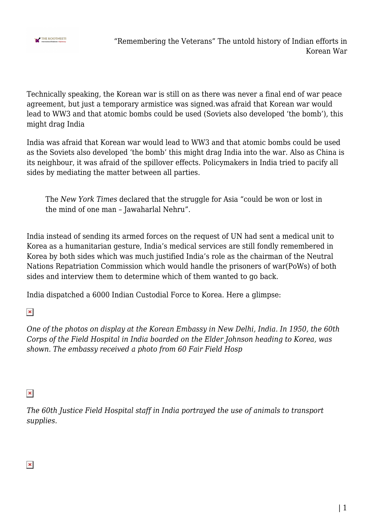

Technically speaking, the Korean war is still on as there was never a final end of war peace agreement, but just a temporary armistice was signed.was afraid that Korean war would lead to WW3 and that atomic bombs could be used (Soviets also developed 'the bomb'), this might drag India

India was afraid that Korean war would lead to WW3 and that atomic bombs could be used as the Soviets also developed 'the bomb' this might drag India into the war. Also as China is its neighbour, it was afraid of the spillover effects. Policymakers in India tried to pacify all sides by mediating the matter between all parties.

The *New York Times* declared that the struggle for Asia "could be won or lost in the mind of one man – Jawaharlal Nehru".

India instead of sending its armed forces on the request of UN had sent a medical unit to Korea as a humanitarian gesture, India's medical services are still fondly remembered in Korea by both sides which was much justified India's role as the chairman of the Neutral Nations Repatriation Commission which would handle the prisoners of war(PoWs) of both sides and interview them to determine which of them wanted to go back.

India dispatched a 6000 Indian Custodial Force to Korea. Here a glimpse:

 $\pmb{\times}$ 

*One of the photos on display at the Korean Embassy in New Delhi, India. In 1950, the 60th Corps of the Field Hospital in India boarded on the Elder Johnson heading to Korea, was shown. The embassy received a photo from 60 Fair Field Hosp*

## $\pmb{\times}$

*The 60th Justice Field Hospital staff in India portrayed the use of animals to transport supplies.*